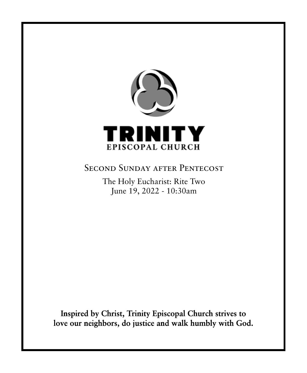

Second Sunday after Pentecost

The Holy Eucharist: Rite Two June 19, 2022 - 10:30am

**Inspired by Christ, Trinity Episcopal Church strives to love our neighbors, do justice and walk humbly with God.**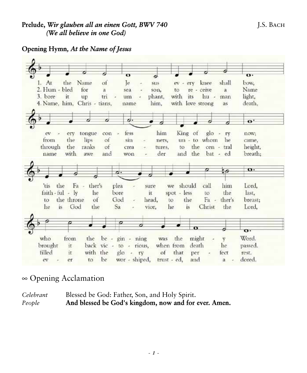#### **Prelude,** *Wir glauben all an einen Gott, BWV 740* **J.S. BACH**  *(We all believe in one God)*

**Opening Hymn***, At the Name of Jesus* 

 $\bullet$  $\mathbf{a}$ ó  $1. At$ the Name  $\sigma f$ le shall sus  $ev - err$ knee bow. 2. Hum - bled for sea son, to re - ceive Name  $\overline{a}$ a. 3. bore it up tri um phant. with its hu - man light. 4. Name, him, Chris - tians, name him. with love strong death, as  $\sigma$ . Ò  $\mathbf{o}$ . tongue con fess him King of  $g$ lo  $\cdot$  ry now: ev ery  $\mathcal{L}$ from the lips of sin ners, un - to whom he came, through the ranks of crea tures, to the cen - tral height, name with awe and won der and the bat - ed breath;  $\mathbf{o}$ .  $\overline{\mathbf{z}}$ 50 a the 'tis  $Fa$ ther's plea sure we should call him Lord, faith-ful - ly he bore spot - less to the last, it the throne of God head, Fa ther's to. to the breast; is God he the Sa he Christ Lord, vior, is the Ò  $\overline{\mathbf{o}}$ . who from the  $be - gin - ning$ was the might  $\overline{v}$ Word. brought back vic - to - rious, when from death he passed. it filled with the  $g \mid o$  -  $ry$ that fect rest. it of per dored.  $ev$ еr to be wor - shiped, trust - ed. and ä

#### ∞ Opening Acclamation

*Celebrant* Blessed be God: Father, Son, and Holy Spirit. *People* **And blessed be God's kingdom, now and for ever. Amen.**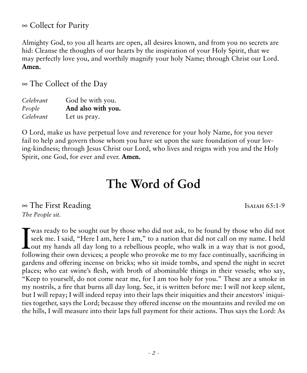#### ∞ Collect for Purity

Almighty God, to you all hearts are open, all desires known, and from you no secrets are hid: Cleanse the thoughts of our hearts by the inspiration of your Holy Spirit, that we may perfectly love you, and worthily magnify your holy Name; through Christ our Lord. **Amen.**

∞ The Collect of the Day

| Celebrant | God be with you.   |
|-----------|--------------------|
| People    | And also with you. |
| Celebrant | Let us pray.       |

O Lord, make us have perpetual love and reverence for your holy Name, for you never fail to help and govern those whom you have set upon the sure foundation of your loving-kindness; through Jesus Christ our Lord, who lives and reigns with you and the Holy Spirit, one God, for ever and ever. **Amen.**

# **The Word of God**

 $\infty$  The First Reading Isaiah 65:1-9 *The People sit.*

I was ready to be sought out by those who did not ask, to be found by those who did not seek me. I said, "Here I am, here I am," to a nation that did not call on my name. I held out my hands all day long to a rebellious pe seek me. I said, "Here I am, here I am," to a nation that did not call on my name. I held Lout my hands all day long to a rebellious people, who walk in a way that is not good, following their own devices; a people who provoke me to my face continually, sacrificing in gardens and offering incense on bricks; who sit inside tombs, and spend the night in secret places; who eat swine's flesh, with broth of abominable things in their vessels; who say, "Keep to yourself, do not come near me, for I am too holy for you." These are a smoke in my nostrils, a fire that burns all day long. See, it is written before me: I will not keep silent, but I will repay; I will indeed repay into their laps their iniquities and their ancestors' iniquities together, says the Lord; because they offered incense on the mountains and reviled me on the hills, I will measure into their laps full payment for their actions. Thus says the Lord: As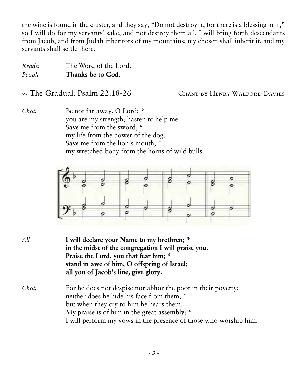the wine is found in the cluster, and they say, "Do not destroy it, for there is a blessing in it," so I will do for my servants' sake, and not destroy them all. I will bring forth descendants from Jacob, and from Judah inheritors of my mountains; my chosen shall inherit it, and my servants shall settle there.

| Reader | The Word of the Lord. |
|--------|-----------------------|
| People | Thanks be to God.     |

∞ The Gradual: Psalm 22:18-26 Chant by Henry Walford Davies

*Choir* **Be not far away, O Lord; \***  you are my strength; hasten to help me. Save me from the sword, \* my life from the power of the dog. Save me from the lion's mouth, \* my wretched body from the horns of wild bulls.



| All   | I will declare your Name to my brethren; *<br>in the midst of the congregation I will praise you.<br>Praise the Lord, you that fear him; *<br>stand in awe of him, O offspring of Israel;<br>all you of Jacob's line, give glory.                                         |
|-------|---------------------------------------------------------------------------------------------------------------------------------------------------------------------------------------------------------------------------------------------------------------------------|
| Choir | For he does not despise nor abhor the poor in their poverty;<br>neither does he hide his face from them; *<br>but when they cry to him he hears them.<br>My praise is of him in the great assembly; *<br>I will perform my vows in the presence of those who worship him. |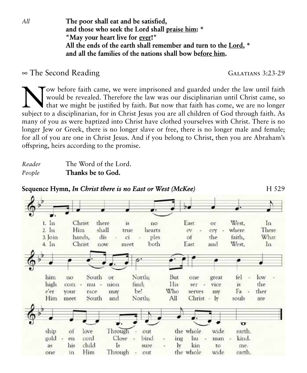#### *All* **The poor shall eat and be satisfied, and those who seek the Lord shall praise him: \* "May your heart live for ever!" All the ends of the earth shall remember and turn to the Lord, \* and all the families of the nations shall bow before him.**

∞ The Second Reading Galatians 3:23-29

Now before faith came, we were imprisoned and guarded under the law until faith<br>would be revealed. Therefore the law was our disciplinarian until Christ came, so<br>that we might be justified by faith. But now that faith has would be revealed. Therefore the law was our disciplinarian until Christ came, so that we might be justified by faith. But now that faith has come, we are no longer subject to a disciplinarian, for in Christ Jesus you are all children of God through faith. As many of you as were baptized into Christ have clothed yourselves with Christ. There is no longer Jew or Greek, there is no longer slave or free, there is no longer male and female; for all of you are one in Christ Jesus. And if you belong to Christ, then you are Abraham's offspring, heirs according to the promise.

| Reader | The Word of the Lord. |
|--------|-----------------------|
| People | Thanks be to God.     |

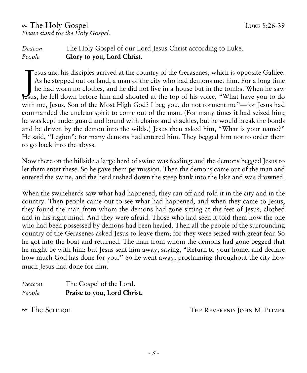*Deacon* The Holy Gospel of our Lord Jesus Christ according to Luke. *People* **Glory to you, Lord Christ.**

It all the country of the Gerasenes, which is opposite Galilee.<br>As he stepped out on land, a man of the city who had demons met him. For a long time<br>he had worn no clothes, and he did not live in a house but in the tombs. Eesus and his disciples arrived at the country of the Gerasenes, which is opposite Galilee. As he stepped out on land, a man of the city who had demons met him. For a long time he had worn no clothes, and he did not live in a house but in the tombs. When he saw with me, Jesus, Son of the Most High God? I beg you, do not torment me"—for Jesus had commanded the unclean spirit to come out of the man. (For many times it had seized him; he was kept under guard and bound with chains and shackles, but he would break the bonds and be driven by the demon into the wilds.) Jesus then asked him, "What is your name?" He said, "Legion"; for many demons had entered him. They begged him not to order them to go back into the abyss.

Now there on the hillside a large herd of swine was feeding; and the demons begged Jesus to let them enter these. So he gave them permission. Then the demons came out of the man and entered the swine, and the herd rushed down the steep bank into the lake and was drowned.

When the swineherds saw what had happened, they ran off and told it in the city and in the country. Then people came out to see what had happened, and when they came to Jesus, they found the man from whom the demons had gone sitting at the feet of Jesus, clothed and in his right mind. And they were afraid. Those who had seen it told them how the one who had been possessed by demons had been healed. Then all the people of the surrounding country of the Gerasenes asked Jesus to leave them; for they were seized with great fear. So he got into the boat and returned. The man from whom the demons had gone begged that he might be with him; but Jesus sent him away, saying, "Return to your home, and declare how much God has done for you." So he went away, proclaiming throughout the city how much Jesus had done for him.

| Deacon | The Gospel of the Lord.     |
|--------|-----------------------------|
| People | Praise to you, Lord Christ. |

∞ The Sermon The Reverend John M. Pitzer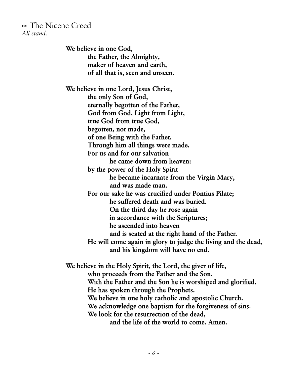∞ The Nicene Creed *All stand.*

> **We believe in one God, the Father, the Almighty, maker of heaven and earth, of all that is, seen and unseen. We believe in one Lord, Jesus Christ, the only Son of God, eternally begotten of the Father, God from God, Light from Light, true God from true God, begotten, not made, of one Being with the Father. Through him all things were made. For us and for our salvation he came down from heaven: by the power of the Holy Spirit he became incarnate from the Virgin Mary, and was made man. For our sake he was crucified under Pontius Pilate; he suffered death and was buried. On the third day he rose again in accordance with the Scriptures; he ascended into heaven and is seated at the right hand of the Father. He will come again in glory to judge the living and the dead, and his kingdom will have no end.**

**We believe in the Holy Spirit, the Lord, the giver of life, who proceeds from the Father and the Son. With the Father and the Son he is worshiped and glorified. He has spoken through the Prophets. We believe in one holy catholic and apostolic Church. We acknowledge one baptism for the forgiveness of sins. We look for the resurrection of the dead, and the life of the world to come. Amen.**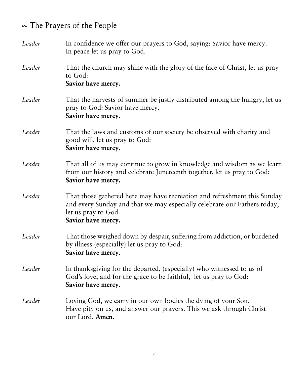# ∞ The Prayers of the People

| Leader | In confidence we offer our prayers to God, saying: Savior have mercy.<br>In peace let us pray to God.                                                                                             |
|--------|---------------------------------------------------------------------------------------------------------------------------------------------------------------------------------------------------|
| Leader | That the church may shine with the glory of the face of Christ, let us pray<br>to God:<br>Savior have mercy.                                                                                      |
| Leader | That the harvests of summer be justly distributed among the hungry, let us<br>pray to God: Savior have mercy.<br>Savior have mercy.                                                               |
| Leader | That the laws and customs of our society be observed with charity and<br>good will, let us pray to God:<br>Savior have mercy.                                                                     |
| Leader | That all of us may continue to grow in knowledge and wisdom as we learn<br>from our history and celebrate Juneteenth together, let us pray to God:<br>Savior have mercy.                          |
| Leader | That those gathered here may have recreation and refreshment this Sunday<br>and every Sunday and that we may especially celebrate our Fathers today,<br>let us pray to God:<br>Savior have mercy. |
| Leader | That those weighed down by despair, suffering from addiction, or burdened<br>by illness (especially) let us pray to God:<br>Savior have mercy.                                                    |
| Leader | In thanksgiving for the departed, (especially) who witnessed to us of<br>God's love, and for the grace to be faithful, let us pray to God:<br>Savior have mercy.                                  |
| Leader | Loving God, we carry in our own bodies the dying of your Son.<br>Have pity on us, and answer our prayers. This we ask through Christ<br>our Lord. Amen.                                           |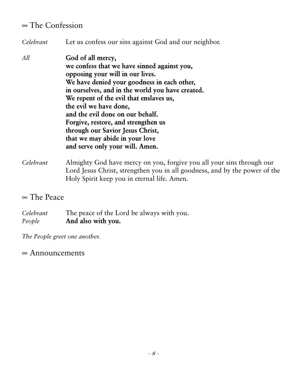#### ∞ The Confession

*Celebrant* Let us confess our sins against God and our neighbor.

*All* **God of all mercy, we confess that we have sinned against you, opposing your will in our lives. We have denied your goodness in each other, in ourselves, and in the world you have created. We repent of the evil that enslaves us, the evil we have done, and the evil done on our behalf. Forgive, restore, and strengthen us through our Savior Jesus Christ, that we may abide in your love and serve only your will. Amen.**

*Celebrant* Almighty God have mercy on you, forgive you all your sins through our Lord Jesus Christ, strengthen you in all goodness, and by the power of the Holy Spirit keep you in eternal life. Amen.

∞ The Peace

*Celebrant* The peace of the Lord be always with you. *People* **And also with you.**

*The People greet one another.*

∞ Announcements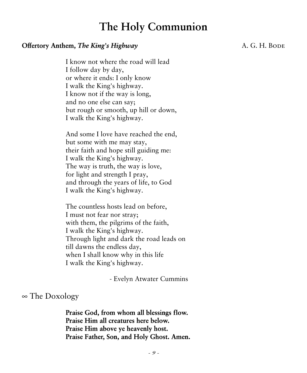# **The Holy Communion**

#### **Offertory Anthem,** *The King's Highway* A. G. H. BODE

 I know not where the road will lead I follow day by day, or where it ends: I only know I walk the King's highway. I know not if the way is long, and no one else can say; but rough or smooth, up hill or down, I walk the King's highway.

 And some I love have reached the end, but some with me may stay, their faith and hope still guiding me: I walk the King's highway. The way is truth, the way is love, for light and strength I pray, and through the years of life, to God I walk the King's highway.

 The countless hosts lead on before, I must not fear nor stray; with them, the pilgrims of the faith, I walk the King's highway. Through light and dark the road leads on till dawns the endless day, when I shall know why in this life I walk the King's highway.

- Evelyn Atwater Cummins

#### ∞ The Doxology

 **Praise God, from whom all blessings flow. Praise Him all creatures here below. Praise Him above ye heavenly host. Praise Father, Son, and Holy Ghost. Amen.**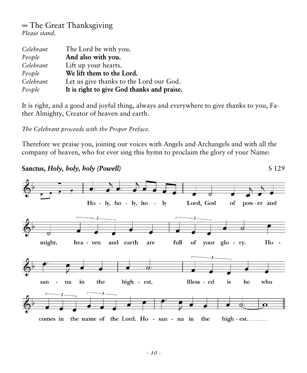#### ∞ The Great Thanksgiving *Please stand.*

| Celebrant | The Lord be with you.                      |
|-----------|--------------------------------------------|
| People    | And also with you.                         |
| Celebrant | Lift up your hearts.                       |
| People    | We lift them to the Lord.                  |
| Celebrant | Let us give thanks to the Lord our God.    |
| People    | It is right to give God thanks and praise. |

It is right, and a good and joyful thing, always and everywhere to give thanks to you, Father Almighty, Creator of heaven and earth.

*The Celebrant proceeds with the Proper Preface.*

Therefore we praise you, joining our voices with Angels and Archangels and with all the company of heaven, who for ever sing this hymn to proclaim the glory of your Name:

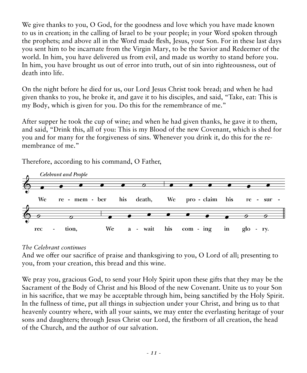We give thanks to you, O God, for the goodness and love which you have made known to us in creation; in the calling of Israel to be your people; in your Word spoken through the prophets; and above all in the Word made flesh, Jesus, your Son. For in these last days you sent him to be incarnate from the Virgin Mary, to be the Savior and Redeemer of the world. In him, you have delivered us from evil, and made us worthy to stand before you. In him, you have brought us out of error into truth, out of sin into righteousness, out of death into life.

On the night before he died for us, our Lord Jesus Christ took bread; and when he had given thanks to you, he broke it, and gave it to his disciples, and said, "Take, eat: This is my Body, which is given for you. Do this for the remembrance of me."

After supper he took the cup of wine; and when he had given thanks, he gave it to them, and said, "Drink this, all of you: This is my Blood of the new Covenant, which is shed for you and for many for the forgiveness of sins. Whenever you drink it, do this for the remembrance of me."

Therefore, according to his command, O Father,



#### *The Celebrant continues*

And we offer our sacrifice of praise and thanksgiving to you, O Lord of all; presenting to you, from your creation, this bread and this wine.

We pray you, gracious God, to send your Holy Spirit upon these gifts that they may be the Sacrament of the Body of Christ and his Blood of the new Covenant. Unite us to your Son in his sacrifice, that we may be acceptable through him, being sanctified by the Holy Spirit. In the fullness of time, put all things in subjection under your Christ, and bring us to that heavenly country where, with all your saints, we may enter the everlasting heritage of your sons and daughters; through Jesus Christ our Lord, the firstborn of all creation, the head of the Church, and the author of our salvation.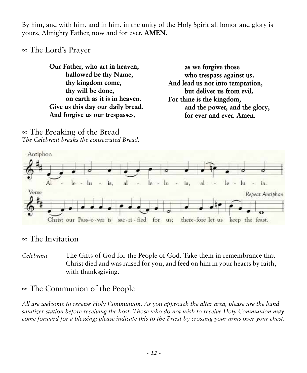By him, and with him, and in him, in the unity of the Holy Spirit all honor and glory is yours, Almighty Father, now and for ever. **AMEN.**

∞ The Lord's Prayer

 **Our Father, who art in heaven, hallowed be thy Name, thy kingdom come, thy will be done, on earth as it is in heaven. Give us this day our daily bread. And forgive us our trespasses,** 

 **as we forgive those who trespass against us. And lead us not into temptation, but deliver us from evil. For thine is the kingdom, and the power, and the glory, for ever and ever. Amen.** 

∞ The Breaking of the Bread *The Celebrant breaks the consecrated Bread.*



#### ∞ The Invitation

*Celebrant* The Gifts of God for the People of God. Take them in remembrance that Christ died and was raised for you, and feed on him in your hearts by faith, with thanksgiving.

#### ∞ The Communion of the People

*All are welcome to receive Holy Communion. As you approach the altar area, please use the hand sanitizer station before receiving the host. Those who do not wish to receive Holy Communion may come forward for a blessing; please indicate this to the Priest by crossing your arms over your chest.*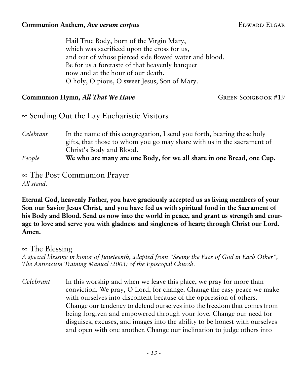Hail True Body, born of the Virgin Mary, which was sacrificed upon the cross for us, and out of whose pierced side flowed water and blood. Be for us a foretaste of that heavenly banquet now and at the hour of our death. O holy, O pious, O sweet Jesus, Son of Mary.

#### **Communion Hymn,** *All That We Have* GREEN SONGBOOK #19

∞ Sending Out the Lay Eucharistic Visitors

*Celebrant* In the name of this congregation, I send you forth, bearing these holy gifts, that those to whom you go may share with us in the sacrament of Christ's Body and Blood.

*People* **We who are many are one Body, for we all share in one Bread, one Cup.** 

∞ The Post Communion Prayer *All stand.*

**Eternal God, heavenly Father, you have graciously accepted us as living members of your Son our Savior Jesus Christ, and you have fed us with spiritual food in the Sacrament of his Body and Blood. Send us now into the world in peace, and grant us strength and courage to love and serve you with gladness and singleness of heart; through Christ our Lord. Amen.**

∞ The Blessing

*A special blessing in honor of Juneteenth, adapted from "Seeing the Face of God in Each Other", The Antiracism Training Manual (2003) of the Episcopal Church.*

*Celebrant* In this worship and when we leave this place, we pray for more than conviction. We pray, O Lord, for change. Change the easy peace we make with ourselves into discontent because of the oppression of others. Change our tendency to defend ourselves into the freedom that comes from being forgiven and empowered through your love. Change our need for disguises, excuses, and images into the ability to be honest with ourselves and open with one another. Change our inclination to judge others into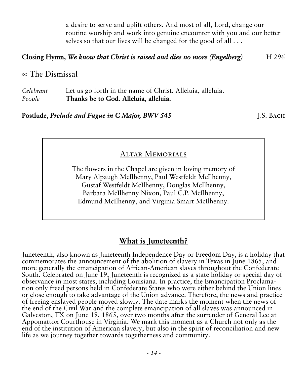a desire to serve and uplift others. And most of all, Lord, change our routine worship and work into genuine encounter with you and our better selves so that our lives will be changed for the good of all ...

#### **Closing Hymn,** *We know that Christ is raised and dies no more (Engelberg)* H 296

∞ The Dismissal

*Celebrant* Let us go forth in the name of Christ. Alleluia, alleluia. *People* **Thanks be to God. Alleluia, alleluia.**

**Postlude, Prelude and Fugue in C Major, BWV 545 J.S. BACH** 

#### Altar Memorials

The flowers in the Chapel are given in loving memory of Mary Alpaugh McIlhenny, Paul Westfeldt McIlhenny, Gustaf Westfeldt McIlhenny, Douglas McIlhenny, Barbara McIlhenny Nixon, Paul C.P. McIlhenny, Edmund McIlhenny, and Virginia Smart McIlhenny.

## **What is Juneteenth?**

Juneteenth, also known as Juneteenth Independence Day or Freedom Day, is a holiday that commemorates the announcement of the abolition of slavery in Texas in June 1865, and more generally the emancipation of African-American slaves throughout the Confederate South. Celebrated on June 19, Juneteenth is recognized as a state holiday or special day of observance in most states, including Louisiana. In practice, the Emancipation Proclamation only freed persons held in Confederate States who were either behind the Union lines or close enough to take advantage of the Union advance. Therefore, the news and practice of freeing enslaved people moved slowly. The date marks the moment when the news of the end of the Civil War and the complete emancipation of all slaves was announced in Galveston, TX on June 19, 1865, over two months after the surrender of General Lee at Appomattox Courthouse in Virginia. We mark this moment as a Church not only as the end of the institution of American slavery, but also in the spirit of reconciliation and new life as we journey together towards togetherness and community.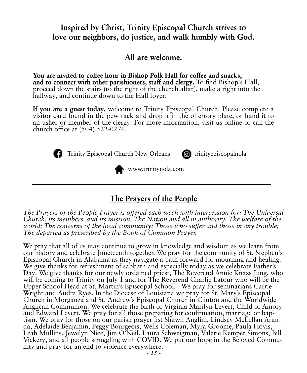#### **Inspired by Christ, Trinity Episcopal Church strives to love our neighbors, do justice, and walk humbly with God.**

**All are welcome.**

**You are invited to coffee hour in Bishop Polk Hall for coffee and snacks, and to connect with other parishioners, staff and clergy.** To find Bishop's Hall, proceed down the stairs (to the right of the church altar), make a right into the hallway, and continue down to the Hall foyer.

**If you are a guest today,** welcome to Trinity Episcopal Church. Please complete a visitor card found in the pew rack and drop it in the offertory plate, or hand it to an usher or member of the clergy. For more information, visit us online or call the church office at (504) 522-0276.



 $\Box$  Trinity Episcopal Church New Orleans  $\Box$  trinityepiscopalnola



www.trinitynola.com

## **The Prayers of the People**

*The Prayers of the People Prayer is offered each week with intercession for: The Universal Church, its members, and its mission; The Nation and all in authority; The welfare of the world; The concerns of the local community; Those who suffer and those in any trouble; The departed as prescribed by the Book of Common Prayer.* 

We pray that all of us may continue to grow in knowledge and wisdom as we learn from our history and celebrate Juneteenth together. We pray for the community of St. Stephen's Episcopal Church in Alabama as they navigate a path forward for mourning and healing. We give thanks for refreshment of sabbath and especially today as we celebrate Father's Day. We give thanks for our newly ordained priest, The Reverend Annie Knazs Jung, who will be coming to Trinity on July 1 and for The Reverend Charlie Latour who will be the Upper School Head at St. Martin's Episcopal School. We pray for seminarians Carrie Wright and Audra Ryes. In the Diocese of Louisiana we pray for St. Mary's Episcopal Church in Morganza and St. Andrew's Episcopal Church in Clinton and the Worldwide Anglican Communion. We celebrate the birth of Virginia Marilyn Levert, Child of Amory and Edward Levert. We pray for all those preparing for confirmation, marriage or bap- tism. We pray for those on our parish prayer list Shawn Anglim, Lindsey McLellan Aranda, Adelaide Benjamin, Peggy Bourgeois, Wells Coleman, Myra Groome, Paula Hovis, Leah Mullins, Jewelyn Nice, Jim O'Neil, Laura Schweigman, Valerie Kemper Simons, Bill Vickery, and all people struggling with COVID. We put our hope in the Beloved Community and pray for an end to violence everywhere.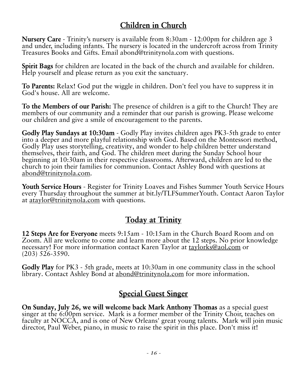## **Children in Church**

**Nursery Care** - Trinity's nursery is available from 8:30am - 12:00pm for children age 3 and under, including infants. The nursery is located in the undercroft across from Trinity Treasures Books and Gifts. Email abond@trinitynola.com with questions.

**Spirit Bags** for children are located in the back of the church and available for children. Help yourself and please return as you exit the sanctuary.

**To Parents:** Relax! God put the wiggle in children. Don't feel you have to suppress it in God's house. All are welcome.

**To the Members of our Parish:** The presence of children is a gift to the Church! They are members of our community and a reminder that our parish is growing. Please welcome our children and give a smile of encouragement to the parents.

**Godly Play Sundays at 10:30am** -Godly Play invites children ages PK3-5th grade to enter into a deeper and more playful relationship with God. Based on the Montessori method, Godly Play uses storytelling, creativity, and wonder to help children better understand themselves, their faith, and God. The children meet during the Sunday School hour beginning at 10:30am in their respective classrooms. Afterward, children are led to the church to join their families for communion. Contact Ashley Bond with questions at abond@trinitynola.com.

**Youth Service Hours** - Register for Trinity Loaves and Fishes Summer Youth Service Hours every Thursday throughout the summer at bit.ly/TLFSummerYouth. Contact Aaron Taylor at ataylor@trinitynola.com with questions.

## **Today at Trinity**

**12 Steps Are for Everyone** meets 9:15am - 10:15am in the Church Board Room and on Zoom. All are welcome to come and learn more about the 12 steps. No prior knowledge necessary! For more information contact Karen Taylor at taylorks@aol.com or (203) 526-3590.

**Godly Play** for PK3 - 5th grade, meets at 10:30am in one community class in the school library. Contact Ashley Bond at abond@trinitynola.com for more information.

## **Special Guest Singer**

**On Sunday, July 26, we will welcome back Mark Anthony Thomas** as a special guest singer at the 6:00pm service. Mark is a former member of the Trinity Choir, teaches on faculty at NOCCA, and is one of New Orleans' great young talents. Mark will join music director, Paul Weber, piano, in music to raise the spirit in this place. Don't miss it!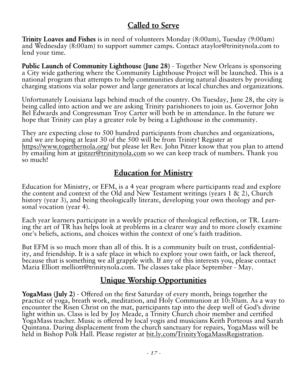## **Called to Serve**

**Trinity Loaves and Fishes** is in need of volunteers Monday (8:00am), Tuesday (9:00am) and Wednesday (8:00am) to support summer camps. Contact ataylor@trinitynola.com to lend your time.

**Public Launch of Community Lighthouse (June 28)** - Together New Orleans is sponsoring a City wide gathering where the Community Lighthouse Project will be launched. This is a national program that attempts to help communities during natural disasters by providing charging stations via solar power and large generators at local churches and organizations.

Unfortunately Louisiana lags behind much of the country. On Tuesday, June 28, the city is being called into action and we are asking Trinity parishioners to join us. Governor John Bel Edwards and Congressman Troy Carter will both be in attendance. In the future we hope that Trinity can play a greater role by being a Lighthouse in the community.

They are expecting close to 500 hundred participants from churches and organizations, and we are hoping at least 30 of the 500 will be from Trinity! Register at https://www.togethernola.org/ but please let Rev. John Pitzer know that you plan to attend by emailing him at jpitzer@trinitynola.com so we can keep track of numbers. Thank you so much!

#### **Education for Ministry**

Education for Ministry, or EFM, is a 4 year program where participants read and explore the content and context of the Old and New Testament writings (years  $1 \& 2$ ), Church history (year 3), and being theologically literate, developing your own theology and personal vocation (year 4).

Each year learners participate in a weekly practice of theological reflection, or TR. Learning the art of TR has helps look at problems in a clearer way and to more closely examine one's beliefs, actions, and choices within the context of one's faith tradition.

But EFM is so much more than all of this. It is a community built on trust, confidentiality, and friendship. It is a safe place in which to explore your own faith, or lack thereof, because that is something we all grapple with. If any of this interests you, please contact Maria Elliott melliott@trinitynola.com. The classes take place September - May.

#### **Unique Worship Opportunities**

**YogaMass (July 2)** - Offered on the first Saturday of every month, brings together the practice of yoga, breath work, meditation, and Holy Communion at 10:30am. As a way to encounter the Risen Christ on the mat, participants tap into the deep well of God's divine light within us. Class is led by Joy Meade, a Trinity Church choir member and certified YogaMass teacher. Music is offered by local yogis and musicians Keith Porteous and Sarah Quintana. During displacement from the church sanctuary for repairs, YogaMass will be held in Bishop Polk Hall. Please register at bit.ly.com/TrinityYogaMassRegistration.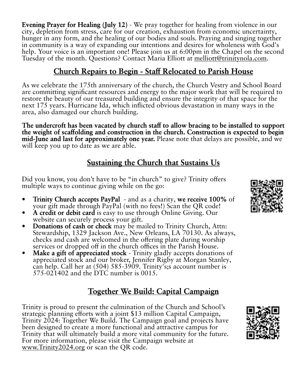**Evening Prayer for Healing (July 12)** - We pray together for healing from violence in our city, depletion from stress, care for our creation, exhaustion from economic uncertainty, hunger in any form, and the healing of our bodies and souls. Praying and singing together in community is a way of expanding our intentions and desires for wholeness with God's help. Your voice is an important one! Please join us at 6:00pm in the Chapel on the second Tuesday of the month. Questions? Contact Maria Elliott at melliott@trinitynola.com.

## **Church Repairs to Begin - Staff Relocated to Parish House**

As we celebrate the 175th anniversary of the church, the Church Vestry and School Board are committing significant resources and energy to the major work that will be required to restore the beauty of our treasured building and ensure the integrity of that space for the next 175 years. Hurricane Ida, which inflicted obvious devastation in many ways in the area, also damaged our church building.

**The undercroft has been vacated by church staff to allow bracing to be installed to support the weight of scaffolding and construction in the church. Construction is expected to begin mid-June and last for approximately one year.** Please note that delays are possible, and we will keep you up to date as we are able.

## **Sustaining the Church that Sustains Us**

Did you know, you don't have to be "in church" to give? Trinity offers multiple ways to continue giving while on the go:

- **Trinity Church accepts PayPal** - and as a charity, **we receive 100%** of your gift made through PayPal (with no fees!)Scan the QR code!
- **A credit or debit card** is easy to use through Online Giving. Our website can securely process your gift.
- **Donations of cash or check** may be mailed to Trinity Church, Attn: Stewardship, 1329 Jackson Ave., New Orleans, LA 70130. As always, checks and cash are welcomed in the offering plate during worship
- services or dropped off in the church offices in the Parish House.  **Make a gift of appreciated stock**  Trinity gladly accepts donations of appreciated stock and our broker, Jennifer Rigby at Morgan Stanley, can help. Call her at (504) 585-3909. Trinity's;s account number is 575-021402 and the DTC number is 0015.

## **Together We Build: Capital Campaign**

Trinity is proud to present the culmination of the Church and School's strategic planning efforts with a joint \$13 million Capital Campaign, Trinity 2024: Together We Build. The Campaign goal and projects have been designed to create a more functional and attractive campus for Trinity that will ultimately build a more vital community for the future. For more information, please visit the Campaign website at www.Trinity2024.org or scan the QR code.